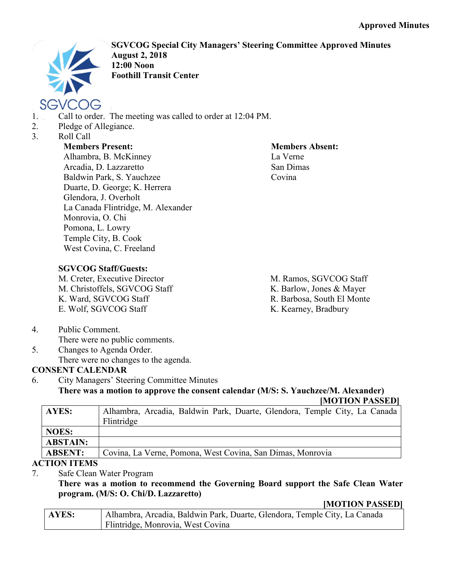

**SGVCOG Special City Managers' Steering Committee Approved Minutes August 2, 2018 12:00 Noon Foothill Transit Center**

- 1. Call to order. The meeting was called to order at 12:04 PM.
- 2. Pledge of Allegiance.
- 3. Roll Call

## **Members Present:**

Alhambra, B. McKinney Arcadia, D. Lazzaretto Baldwin Park, S. Yauchzee Duarte, D. George; K. Herrera Glendora, J. Overholt La Canada Flintridge, M. Alexander Monrovia, O. Chi Pomona, L. Lowry Temple City, B. Cook West Covina, C. Freeland

**Members Absent:** La Verne San Dimas Covina

# **SGVCOG Staff/Guests:**

M. Creter, Executive Director M. Christoffels, SGVCOG Staff K. Ward, SGVCOG Staff E. Wolf, SGVCOG Staff

M. Ramos, SGVCOG Staff K. Barlow, Jones & Mayer R. Barbosa, South El Monte K. Kearney, Bradbury

4. Public Comment.

There were no public comments.

5. Changes to Agenda Order. There were no changes to the agenda.

# **CONSENT CALENDAR**

6. City Managers' Steering Committee Minutes **There was a motion to approve the consent calendar (M/S: S. Yauchzee/M. Alexander)**

**[MOTION PASSED]**

| AYES:           | Alhambra, Arcadia, Baldwin Park, Duarte, Glendora, Temple City, La Canada |
|-----------------|---------------------------------------------------------------------------|
|                 | Flintridge                                                                |
| <b>NOES:</b>    |                                                                           |
| <b>ABSTAIN:</b> |                                                                           |
| <b>ABSENT:</b>  | Covina, La Verne, Pomona, West Covina, San Dimas, Monrovia                |
| TIAN ITEMS      |                                                                           |

### **ACTION ITEMS**

7. Safe Clean Water Program

**There was a motion to recommend the Governing Board support the Safe Clean Water program. (M/S: O. Chi/D. Lazzaretto)**

#### **[MOTION PASSED]**

| AYES: | Alhambra, Arcadia, Baldwin Park, Duarte, Glendora, Temple City, La Canada |
|-------|---------------------------------------------------------------------------|
|       | Flintridge, Monrovia, West Covina                                         |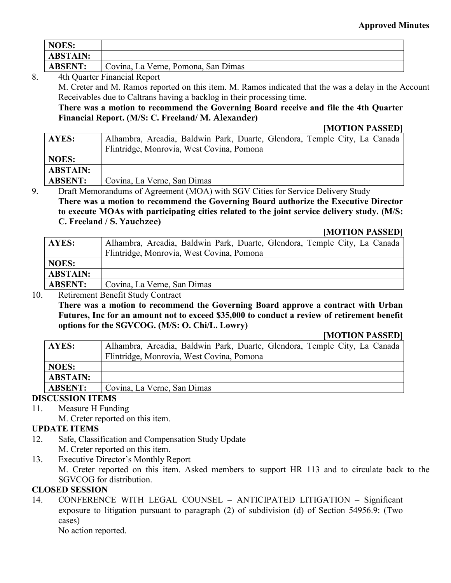| NOES:           |                                     |
|-----------------|-------------------------------------|
| <b>ABSTAIN:</b> |                                     |
| <b>ABSENT:</b>  | Covina, La Verne, Pomona, San Dimas |

#### 8. 4th Quarter Financial Report

M. Creter and M. Ramos reported on this item. M. Ramos indicated that the was a delay in the Account Receivables due to Caltrans having a backlog in their processing time.

**There was a motion to recommend the Governing Board receive and file the 4th Quarter Financial Report. (M/S: C. Freeland/ M. Alexander)**

#### **[MOTION PASSED]**

| <b>AYES:</b>    | Alhambra, Arcadia, Baldwin Park, Duarte, Glendora, Temple City, La Canada |
|-----------------|---------------------------------------------------------------------------|
|                 | Flintridge, Monrovia, West Covina, Pomona                                 |
| <b>NOES:</b>    |                                                                           |
| <b>ABSTAIN:</b> |                                                                           |
| <b>ABSENT:</b>  | Covina, La Verne, San Dimas                                               |
|                 |                                                                           |

9. Draft Memorandums of Agreement (MOA) with SGV Cities for Service Delivery Study

**There was a motion to recommend the Governing Board authorize the Executive Director to execute MOAs with participating cities related to the joint service delivery study. (M/S: C. Freeland / S. Yauchzee)**

#### **[MOTION PASSED]**

| <b>AYES:</b>    | Alhambra, Arcadia, Baldwin Park, Duarte, Glendora, Temple City, La Canada |
|-----------------|---------------------------------------------------------------------------|
|                 | Flintridge, Monrovia, West Covina, Pomona                                 |
| <b>NOES:</b>    |                                                                           |
| <b>ABSTAIN:</b> |                                                                           |
| <b>ABSENT:</b>  | Covina, La Verne, San Dimas                                               |

#### 10. Retirement Benefit Study Contract

**There was a motion to recommend the Governing Board approve a contract with Urban Futures, Inc for an amount not to exceed \$35,000 to conduct a review of retirement benefit options for the SGVCOG. (M/S: O. Chi/L. Lowry)**

#### **[MOTION PASSED]**

| AYES:           | Alhambra, Arcadia, Baldwin Park, Duarte, Glendora, Temple City, La Canada |
|-----------------|---------------------------------------------------------------------------|
|                 | Flintridge, Monrovia, West Covina, Pomona                                 |
| <b>NOES:</b>    |                                                                           |
| <b>ABSTAIN:</b> |                                                                           |
| <b>ABSENT:</b>  | Covina, La Verne, San Dimas                                               |

### **DISCUSSION ITEMS**

- 11. Measure H Funding
	- M. Creter reported on this item.

### **UPDATE ITEMS**

- 12. Safe, Classification and Compensation Study Update M. Creter reported on this item.
- 13. Executive Director's Monthly Report M. Creter reported on this item. Asked members to support HR 113 and to circulate back to the SGVCOG for distribution.

#### **CLOSED SESSION**

14. CONFERENCE WITH LEGAL COUNSEL – ANTICIPATED LITIGATION – Significant exposure to litigation pursuant to paragraph (2) of subdivision (d) of Section 54956.9: (Two cases)

No action reported.